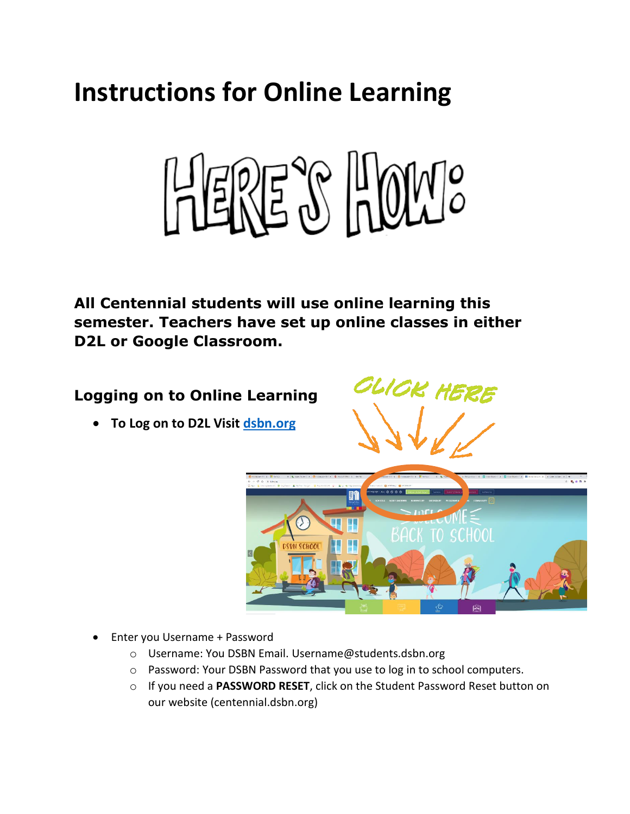# **Instructions for Online Learning**



**All Centennial students will use online learning this semester. Teachers have set up online classes in either D2L or Google Classroom.** 

## **Logging on to Online Learning**

• **To Log on to D2L Visit [dsbn.org](http://www.dsbn.org/)**





- Enter you Username + Password
	- o Username: You DSBN Email. Username@students.dsbn.org
	- o Password: Your DSBN Password that you use to log in to school computers.
	- o If you need a **PASSWORD RESET**, click on the Student Password Reset button on our website (centennial.dsbn.org)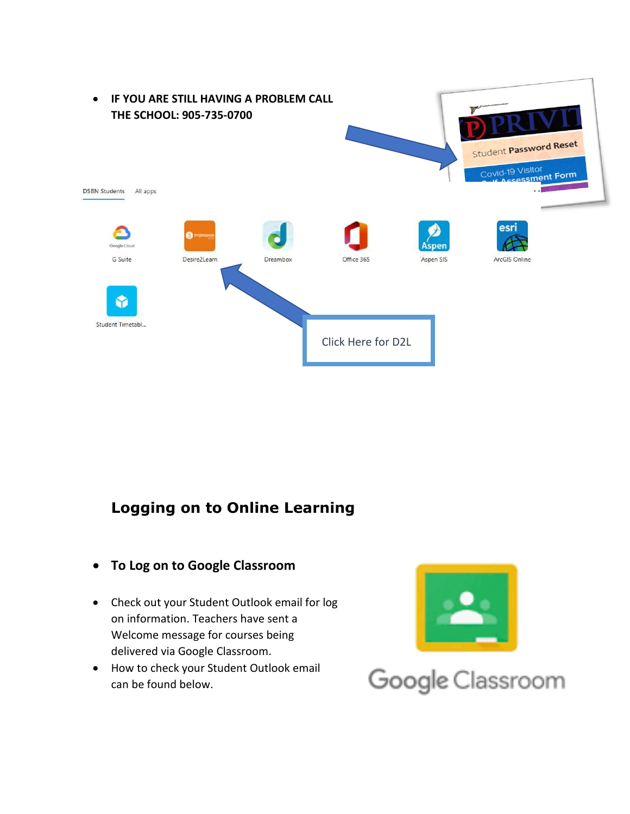

### **Logging on to Online Learning**

- **To Log on to Google Classroom**
- Check out your Student Outlook email for log on information. Teachers have sent a Welcome message for courses being delivered via Google Classroom.
- How to check your Student Outlook email can be found below.



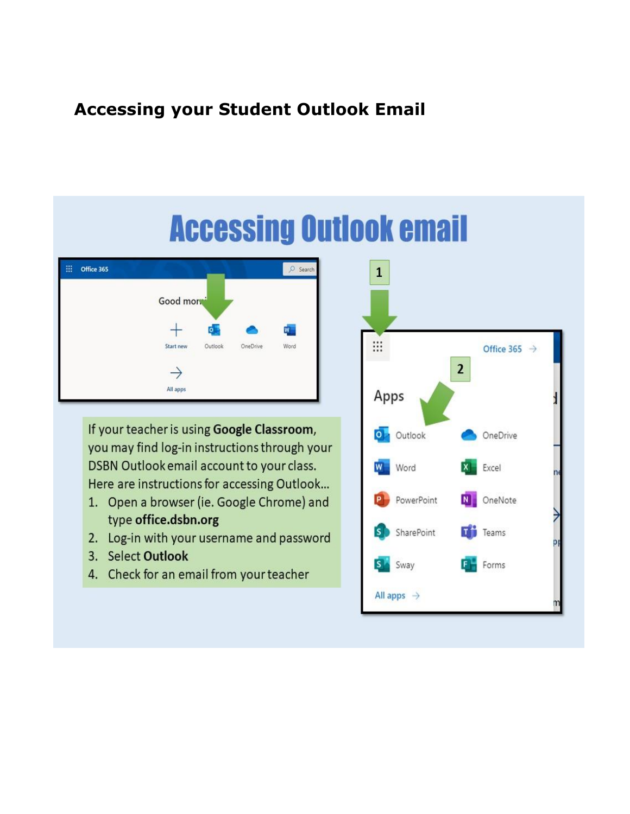# **Accessing your Student Outlook Email**



If your teacher is using Google Classroom, you may find log-in instructions through your DSBN Outlook email account to your class. Here are instructions for accessing Outlook...

- 1. Open a browser (ie. Google Chrome) and type office.dsbn.org
- 2. Log-in with your username and password
- 3. Select Outlook
- 4. Check for an email from your teacher

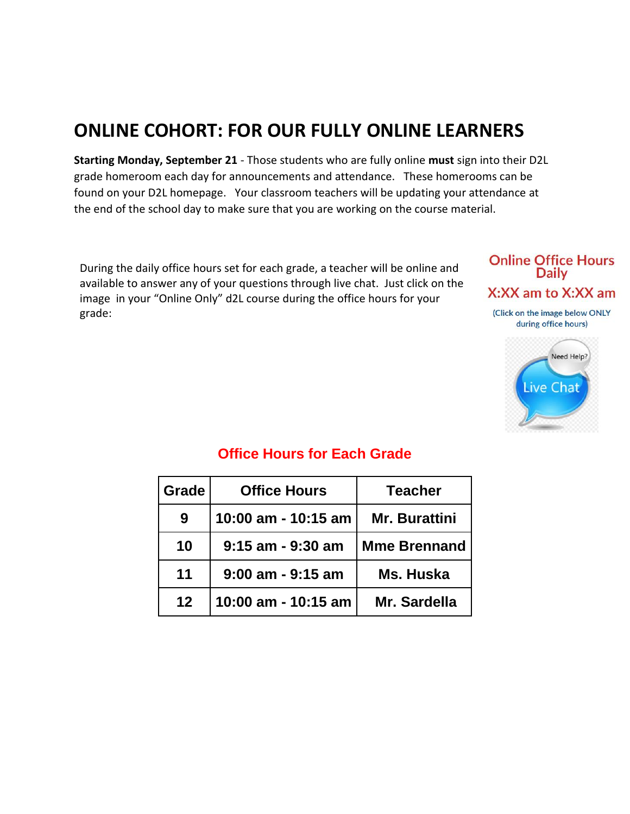# **ONLINE COHORT: FOR OUR FULLY ONLINE LEARNERS**

**Starting Monday, September 21** - Those students who are fully online **must** sign into their D2L grade homeroom each day for announcements and attendance. These homerooms can be found on your D2L homepage. Your classroom teachers will be updating your attendance at the end of the school day to make sure that you are working on the course material.

During the daily office hours set for each grade, a teacher will be online and available to answer any of your questions through live chat. Just click on the image in your "Online Only" d2L course during the office hours for your grade:

#### **Online Office Hours Daily** X:XX am to X:XX am (Click on the image below ONLY

during office hours)



| Grade   | <b>Office Hours</b>   | <b>Teacher</b>       |
|---------|-----------------------|----------------------|
| 9       | 10:00 am - 10:15 am   | <b>Mr. Burattini</b> |
| 10      | $9:15$ am - $9:30$ am | <b>Mme Brennand</b>  |
| 11      | $9:00$ am - $9:15$ am | Ms. Huska            |
| $12 \,$ | 10:00 am - 10:15 am   | Mr. Sardella         |

### **Office Hours for Each Grade**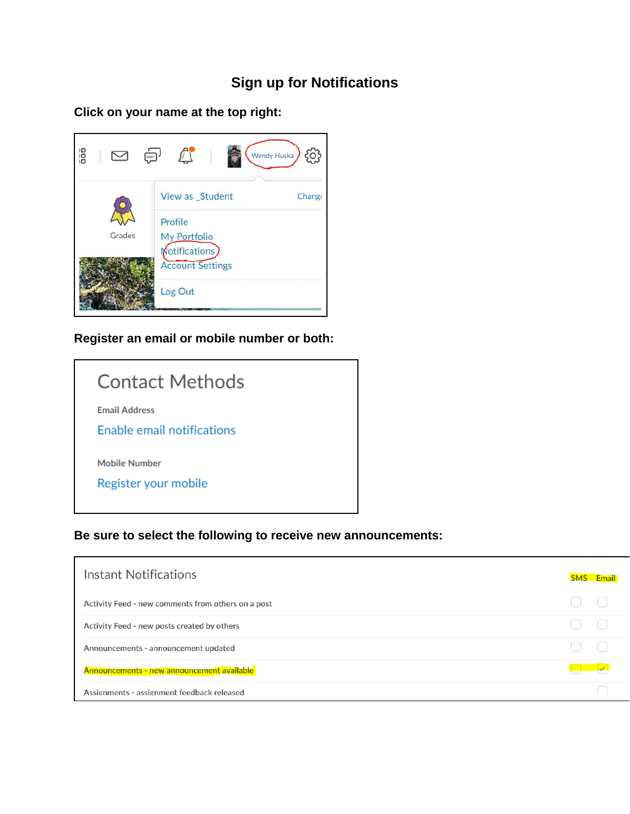## **Sign up for Notifications**

**Click on your name at the top right:**



#### **Register an email or mobile number or both:**

| Contact Methods            |
|----------------------------|
| <b>Email Address</b>       |
| Enable email notifications |
| Mobile Number              |
| Register your mobile       |
|                            |

#### **Be sure to select the following to receive new announcements:**

| Instant Notifications                              | <b>SMS</b> Email |
|----------------------------------------------------|------------------|
| Activity Feed - new comments from others on a post |                  |
| Activity Feed - new posts created by others        |                  |
| Announcements - announcement updated               |                  |
| <b>Announcements - new announcement available</b>  |                  |
| Assignments - assignment feedback released         |                  |